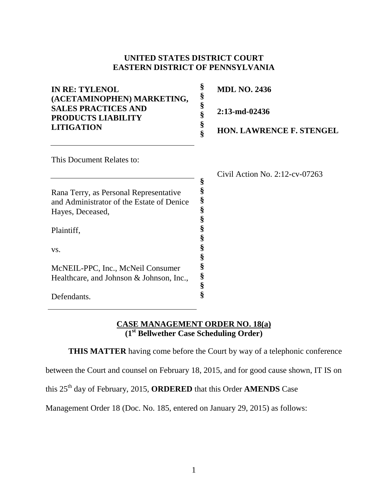#### **UNITED STATES DISTRICT COURT EASTERN DISTRICT OF PENNSYLVANIA**

| <b>IN RE: TYLENOL</b><br>(ACETAMINOPHEN) MARKETING,<br><b>SALES PRACTICES AND</b><br><b>PRODUCTS LIABILITY</b><br><b>LITIGATION</b> | §<br>§<br>§<br>§<br>§ | <b>MDL NO. 2436</b><br>$2:13$ -md-02436<br><b>HON. LAWRENCE F. STENGEL</b> |
|-------------------------------------------------------------------------------------------------------------------------------------|-----------------------|----------------------------------------------------------------------------|
| This Document Relates to:                                                                                                           |                       |                                                                            |
|                                                                                                                                     | §                     | Civil Action No. $2:12$ -cv-07263                                          |
| Rana Terry, as Personal Representative                                                                                              |                       |                                                                            |
| and Administrator of the Estate of Denice                                                                                           | §                     |                                                                            |
| Hayes, Deceased,                                                                                                                    | §                     |                                                                            |
|                                                                                                                                     |                       |                                                                            |
| Plaintiff,                                                                                                                          |                       |                                                                            |
| VS.                                                                                                                                 |                       |                                                                            |
|                                                                                                                                     |                       |                                                                            |

#### **CASE MANAGEMENT ORDER NO. 18(a) (1st Bellwether Case Scheduling Order)**

**THIS MATTER** having come before the Court by way of a telephonic conference

**§ § § §**

between the Court and counsel on February 18, 2015, and for good cause shown, IT IS on

this 25th day of February, 2015, **ORDERED** that this Order **AMENDS** Case

McNEIL-PPC, Inc., McNeil Consumer Healthcare, and Johnson & Johnson, Inc.,

Defendants.

Management Order 18 (Doc. No. 185, entered on January 29, 2015) as follows: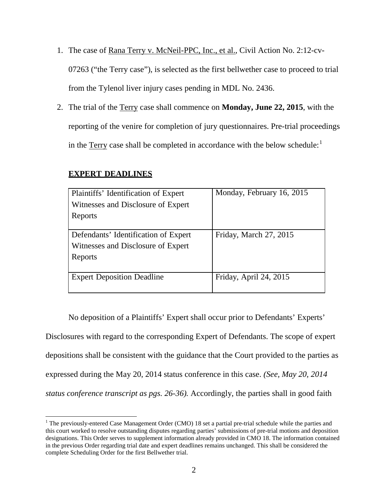- 1. The case of Rana Terry v. McNeil-PPC, Inc., et al., Civil Action No. 2:12-cv-07263 ("the Terry case"), is selected as the first bellwether case to proceed to trial from the Tylenol liver injury cases pending in MDL No. 2436.
- 2. The trial of the Terry case shall commence on **Monday, June 22, 2015**, with the reporting of the venire for completion of jury questionnaires. Pre-trial proceedings in the Terry case shall be completed in accordance with the below schedule: $<sup>1</sup>$  $<sup>1</sup>$  $<sup>1</sup>$ </sup>

| Plaintiffs' Identification of Expert | Monday, February 16, 2015 |
|--------------------------------------|---------------------------|
| Witnesses and Disclosure of Expert   |                           |
| Reports                              |                           |
|                                      |                           |
| Defendants' Identification of Expert | Friday, March 27, 2015    |
| Witnesses and Disclosure of Expert   |                           |
| Reports                              |                           |
|                                      |                           |
| <b>Expert Deposition Deadline</b>    | Friday, April 24, 2015    |
|                                      |                           |

# **EXPERT DEADLINES**

No deposition of a Plaintiffs' Expert shall occur prior to Defendants' Experts' Disclosures with regard to the corresponding Expert of Defendants. The scope of expert depositions shall be consistent with the guidance that the Court provided to the parties as expressed during the May 20, 2014 status conference in this case. *(See, May 20, 2014 status conference transcript as pgs. 26-36).* Accordingly, the parties shall in good faith

<span id="page-1-0"></span><sup>&</sup>lt;sup>1</sup> The previously-entered Case Management Order (CMO) 18 set a partial pre-trial schedule while the parties and this court worked to resolve outstanding disputes regarding parties' submissions of pre-trial motions and deposition designations. This Order serves to supplement information already provided in CMO 18. The information contained in the previous Order regarding trial date and expert deadlines remains unchanged. This shall be considered the complete Scheduling Order for the first Bellwether trial.  $\overline{\phantom{a}}$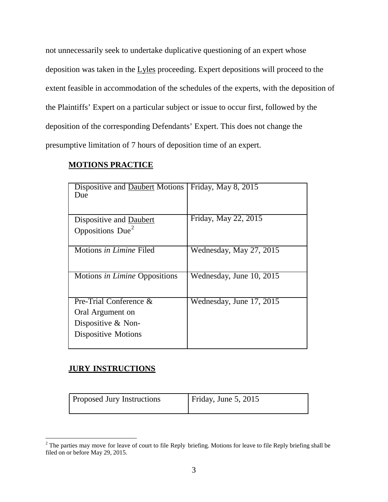not unnecessarily seek to undertake duplicative questioning of an expert whose deposition was taken in the Lyles proceeding. Expert depositions will proceed to the extent feasible in accommodation of the schedules of the experts, with the deposition of the Plaintiffs' Expert on a particular subject or issue to occur first, followed by the deposition of the corresponding Defendants' Expert. This does not change the presumptive limitation of 7 hours of deposition time of an expert.

#### **MOTIONS PRACTICE**

| Friday, May 8, 2015      |
|--------------------------|
| Friday, May 22, 2015     |
|                          |
| Wednesday, May 27, 2015  |
| Wednesday, June 10, 2015 |
| Wednesday, June 17, 2015 |
|                          |
|                          |
|                          |
|                          |

## **JURY INSTRUCTIONS**

l

| <b>Proposed Jury Instructions</b> | Friday, June 5, 2015 |
|-----------------------------------|----------------------|
|                                   |                      |

<span id="page-2-0"></span> $2^2$  The parties may move for leave of court to file Reply briefing. Motions for leave to file Reply briefing shall be filed on or before May 29, 2015.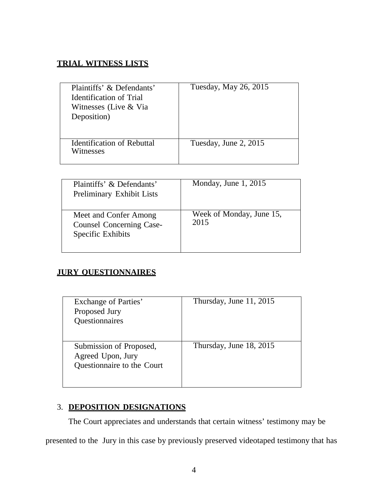## **TRIAL WITNESS LISTS**

| Plaintiffs' & Defendants'<br><b>Identification of Trial</b><br>Witnesses (Live & Via<br>Deposition) | Tuesday, May 26, 2015 |
|-----------------------------------------------------------------------------------------------------|-----------------------|
| <b>Identification of Rebuttal</b><br>Witnesses                                                      | Tuesday, June 2, 2015 |
|                                                                                                     |                       |

| Plaintiffs' & Defendants'<br>Preliminary Exhibit Lists                        | Monday, June $1, 2015$           |
|-------------------------------------------------------------------------------|----------------------------------|
| Meet and Confer Among<br><b>Counsel Concerning Case-</b><br>Specific Exhibits | Week of Monday, June 15,<br>2015 |

# **JURY QUESTIONNAIRES**

| Exchange of Parties'<br>Proposed Jury<br>Questionnaires                    | Thursday, June 11, 2015 |
|----------------------------------------------------------------------------|-------------------------|
| Submission of Proposed,<br>Agreed Upon, Jury<br>Questionnaire to the Court | Thursday, June 18, 2015 |

# 3. **DEPOSITION DESIGNATIONS**

The Court appreciates and understands that certain witness' testimony may be

presented to the Jury in this case by previously preserved videotaped testimony that has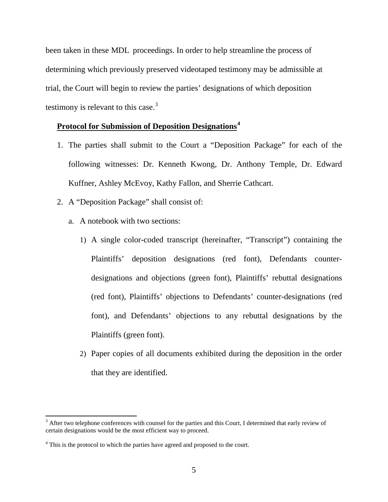been taken in these MDL proceedings. In order to help streamline the process of determining which previously preserved videotaped testimony may be admissible at trial, the Court will begin to review the parties' designations of which deposition testimony is relevant to this case. $3$ 

#### **Protocol for Submission of Deposition Designations[4](#page-4-1)**

- 1. The parties shall submit to the Court a "Deposition Package" for each of the following witnesses: Dr. Kenneth Kwong, Dr. Anthony Temple, Dr. Edward Kuffner, Ashley McEvoy, Kathy Fallon, and Sherrie Cathcart.
- 2. A "Deposition Package" shall consist of:
	- a. A notebook with two sections:
		- 1) A single color-coded transcript (hereinafter, "Transcript") containing the Plaintiffs' deposition designations (red font), Defendants counterdesignations and objections (green font), Plaintiffs' rebuttal designations (red font), Plaintiffs' objections to Defendants' counter-designations (red font), and Defendants' objections to any rebuttal designations by the Plaintiffs (green font).
		- 2) Paper copies of all documents exhibited during the deposition in the order that they are identified.

 $\overline{\phantom{a}}$ 

<span id="page-4-0"></span> $3$  After two telephone conferences with counsel for the parties and this Court, I determined that early review of certain designations would be the most efficient way to proceed.

<span id="page-4-1"></span><sup>&</sup>lt;sup>4</sup> This is the protocol to which the parties have agreed and proposed to the court.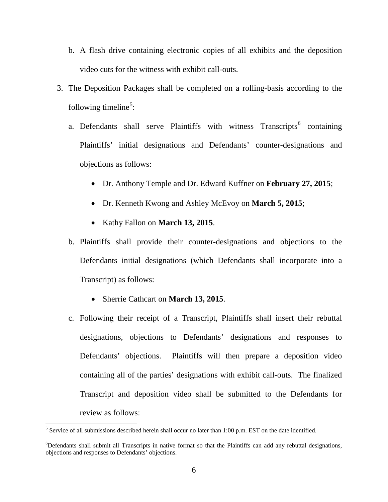- b. A flash drive containing electronic copies of all exhibits and the deposition video cuts for the witness with exhibit call-outs.
- 3. The Deposition Packages shall be completed on a rolling-basis according to the following timeline<sup>[5](#page-5-0)</sup>:
	- a. Defendants shall serve Plaintiffs with witness  $Transcripts<sup>6</sup> containing$  $Transcripts<sup>6</sup> containing$  $Transcripts<sup>6</sup> containing$ Plaintiffs' initial designations and Defendants' counter-designations and objections as follows:
		- Dr. Anthony Temple and Dr. Edward Kuffner on **February 27, 2015**;
		- Dr. Kenneth Kwong and Ashley McEvoy on **March 5, 2015**;
		- Kathy Fallon on **March 13, 2015**.
	- b. Plaintiffs shall provide their counter-designations and objections to the Defendants initial designations (which Defendants shall incorporate into a Transcript) as follows:
		- Sherrie Cathcart on **March 13, 2015**.
	- c. Following their receipt of a Transcript, Plaintiffs shall insert their rebuttal designations, objections to Defendants' designations and responses to Defendants' objections. Plaintiffs will then prepare a deposition video containing all of the parties' designations with exhibit call-outs. The finalized Transcript and deposition video shall be submitted to the Defendants for review as follows:

l

<span id="page-5-0"></span> $<sup>5</sup>$  Service of all submissions described herein shall occur no later than 1:00 p.m. EST on the date identified.</sup>

<span id="page-5-1"></span><sup>&</sup>lt;sup>6</sup>Defendants shall submit all Transcripts in native format so that the Plaintiffs can add any rebuttal designations, objections and responses to Defendants' objections.